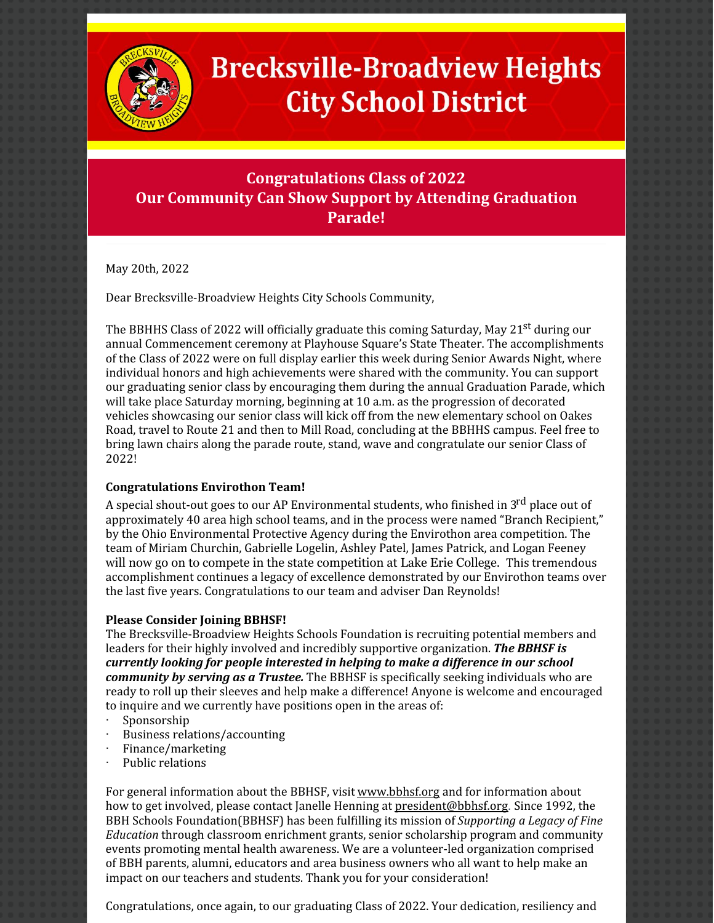

# **Brecksville-Broadview Heights City School District**

## **Congratulations Class of 2022 Our Community Can Show Support by Attending Graduation Parade!**

May 20th, 2022

Dear Brecksville-Broadview Heights City Schools Community,

The BBHHS Class of 2022 will officially graduate this coming Saturday, May 21<sup>st</sup> during our annual Commencement ceremony at Playhouse Square's State Theater. The accomplishments of the Class of 2022 were on full display earlier this week during Senior Awards Night, where individual honors and high achievements were shared with the community. You can support our graduating senior class by encouraging them during the annual Graduation Parade, which will take place Saturday morning, beginning at 10 a.m. as the progression of decorated vehicles showcasing our senior class will kick off from the new elementary school on Oakes Road, travel to Route 21 and then to Mill Road, concluding at the BBHHS campus. Feel free to bring lawn chairs along the parade route, stand, wave and congratulate our senior Class of 2022!

#### **Congratulations Envirothon Team!**

A special shout-out goes to our AP Environmental students, who finished in 3<sup>rd</sup> place out of approximately 40 area high school teams, and in the process were named "Branch Recipient," by the Ohio Environmental Protective Agency during the Envirothon area competition. The team of Miriam Churchin, Gabrielle Logelin, Ashley Patel, James Patrick, and Logan Feeney will now go on to compete in the state competition at Lake Erie College. This tremendous accomplishment continues a legacy of excellence demonstrated by our Envirothon teams over the last five years. Congratulations to our team and adviser Dan Reynolds!

#### **Please Consider Joining BBHSF!**

The Brecksville-Broadview Heights Schools Foundation is recruiting potential members and leaders for their highly involved and incredibly supportive organization. *The BBHSF is currently looking for people interested in helping to make a difference in our school community by serving as a Trustee.* The BBHSF is specifically seeking individuals who are ready to roll up their sleeves and help make a difference! Anyone is welcome and encouraged to inquire and we currently have positions open in the areas of:

- · Sponsorship
- Business relations/accounting
- · Finance/marketing
- Public relations

For general information about the BBHSF, visit [www.bbhsf.org](http://www.bbhsf.org/) and for information about how to get involved, please contact Janelle Henning at [president@bbhsf.org](mailto:president@bbhsf.org). Since 1992, the BBH Schools Foundation(BBHSF) has been fulfilling its mission of *Supporting a Legacy of Fine Education* through classroom enrichment grants, senior scholarship program and community events promoting mental health awareness. We are a volunteer-led organization comprised of BBH parents, alumni, educators and area business owners who all want to help make an impact on our teachers and students. Thank you for your consideration!

Congratulations, once again, to our graduating Class of 2022. Your dedication, resiliency and